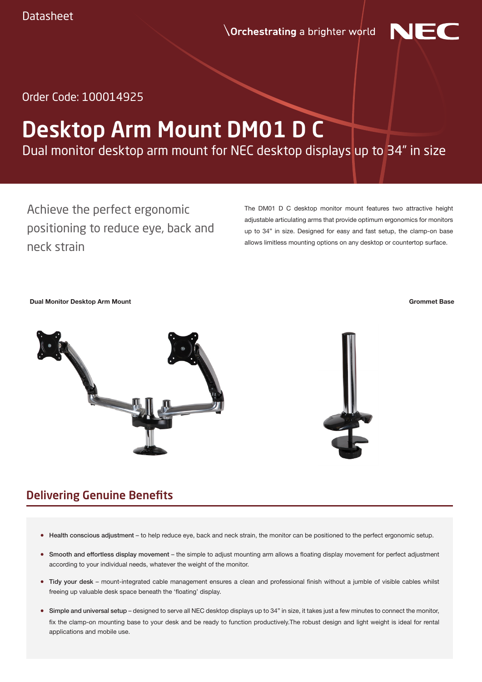**Orchestrating** a brighter world



Order Code: 100014925

# Desktop Arm Mount DM01 D C

Dual monitor desktop arm mount for NEC desktop displays up to 34" in size

Achieve the perfect ergonomic positioning to reduce eye, back and neck strain

The DM01 D C desktop monitor mount features two attractive height adjustable articulating arms that provide optimum ergonomics for monitors up to 34" in size. Designed for easy and fast setup, the clamp-on base allows limitless mounting options on any desktop or countertop surface.

**Dual Monitor Desktop Arm Mount Grommet Base**



### Delivering Genuine Benefits

- Health conscious adjustment to help reduce eye, back and neck strain, the monitor can be positioned to the perfect ergonomic setup.
- Smooth and effortless display movement the simple to adjust mounting arm allows a floating display movement for perfect adjustment according to your individual needs, whatever the weight of the monitor.
- Tidy your desk mount-integrated cable management ensures a clean and professional finish without a jumble of visible cables whilst freeing up valuable desk space beneath the 'floating' display.
- Simple and universal setup designed to serve all NEC desktop displays up to 34" in size, it takes just a few minutes to connect the monitor, fix the clamp-on mounting base to your desk and be ready to function productively.The robust design and light weight is ideal for rental applications and mobile use.